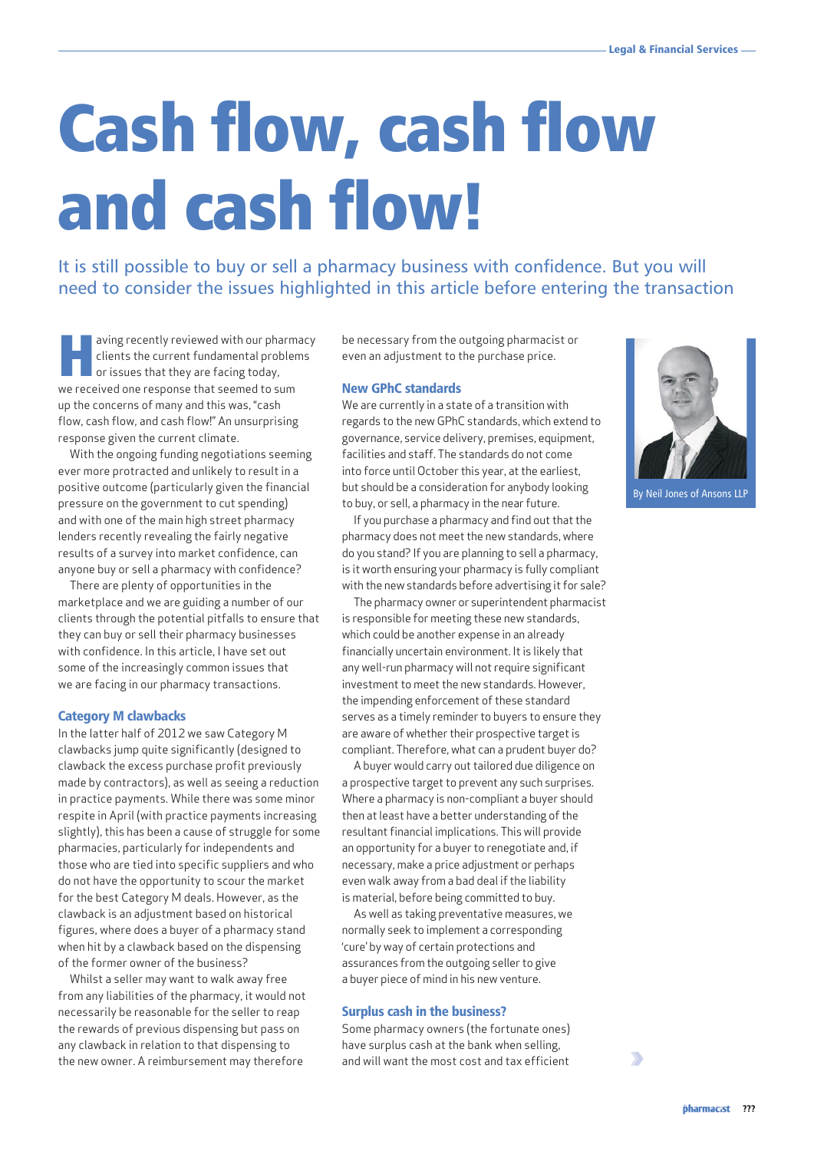# Cash flow, cash flow and cash flow!

It is still possible to buy or sell a pharmacy business with confidence. But you will need to consider the issues highlighted in this article before entering the transaction

aving recently reviewed with our pharmacy clients the current fundamental problems or issues that they are facing today, we received one response that seemed to sum up the concerns of many and this was, "cash flow, cash flow, and cash flow!" An unsurprising response given the current climate.

With the ongoing funding negotiations seeming ever more protracted and unlikely to result in a positive outcome (particularly given the financial pressure on the government to cut spending) and with one of the main high street pharmacy lenders recently revealing the fairly negative results of a survey into market confidence, can anyone buy or sell a pharmacy with confidence?

There are plenty of opportunities in the marketplace and we are guiding a number of our clients through the potential pitfalls to ensure that they can buy or sell their pharmacy businesses with confidence. In this article, I have set out some of the increasingly common issues that we are facing in our pharmacy transactions.

# Category M clawbacks

In the latter half of 2012 we saw Category M clawbacks jump quite significantly (designed to clawback the excess purchase profit previously made by contractors), as well as seeing a reduction in practice payments. While there was some minor respite in April (with practice payments increasing slightly), this has been a cause of struggle for some pharmacies, particularly for independents and those who are tied into specific suppliers and who do not have the opportunity to scour the market for the best Category M deals. However, as the clawback is an adjustment based on historical figures, where does a buyer of a pharmacy stand when hit by a clawback based on the dispensing of the former owner of the business?

Whilst a seller may want to walk away free from any liabilities of the pharmacy, it would not necessarily be reasonable for the seller to reap the rewards of previous dispensing but pass on any clawback in relation to that dispensing to the new owner. A reimbursement may therefore

be necessary from the outgoing pharmacist or even an adjustment to the purchase price.

# New GPhC standards

We are currently in a state of a transition with regards to the new GPhC standards, which extend to governance, service delivery, premises, equipment, facilities and staff. The standards do not come into force until October this year, at the earliest, but should be a consideration for anybody looking to buy, or sell, a pharmacy in the near future.

If you purchase a pharmacy and find out that the pharmacy does not meet the new standards, where do you stand? If you are planning to sell a pharmacy, is it worth ensuring your pharmacy is fully compliant with the new standards before advertising it for sale?

The pharmacy owner or superintendent pharmacist is responsible for meeting these new standards, which could be another expense in an already financially uncertain environment. It is likely that any well-run pharmacy will not require significant investment to meet the new standards. However, the impending enforcement of these standard serves as a timely reminder to buyers to ensure they are aware of whether their prospective target is compliant. Therefore, what can a prudent buyer do?

A buyer would carry out tailored due diligence on a prospective target to prevent any such surprises. Where a pharmacy is non-compliant a buyer should then at least have a better understanding of the resultant financial implications. This will provide an opportunity for a buyer to renegotiate and, if necessary, make a price adjustment or perhaps even walk away from a bad deal if the liability is material, before being committed to buy.

As well as taking preventative measures, we normally seek to implement a corresponding 'cure' by way of certain protections and assurances from the outgoing seller to give a buyer piece of mind in his new venture.

# Surplus cash in the business?

Some pharmacy owners (the fortunate ones) have surplus cash at the bank when selling, and will want the most cost and tax efficient



By Neil Jones of Ansons LLP